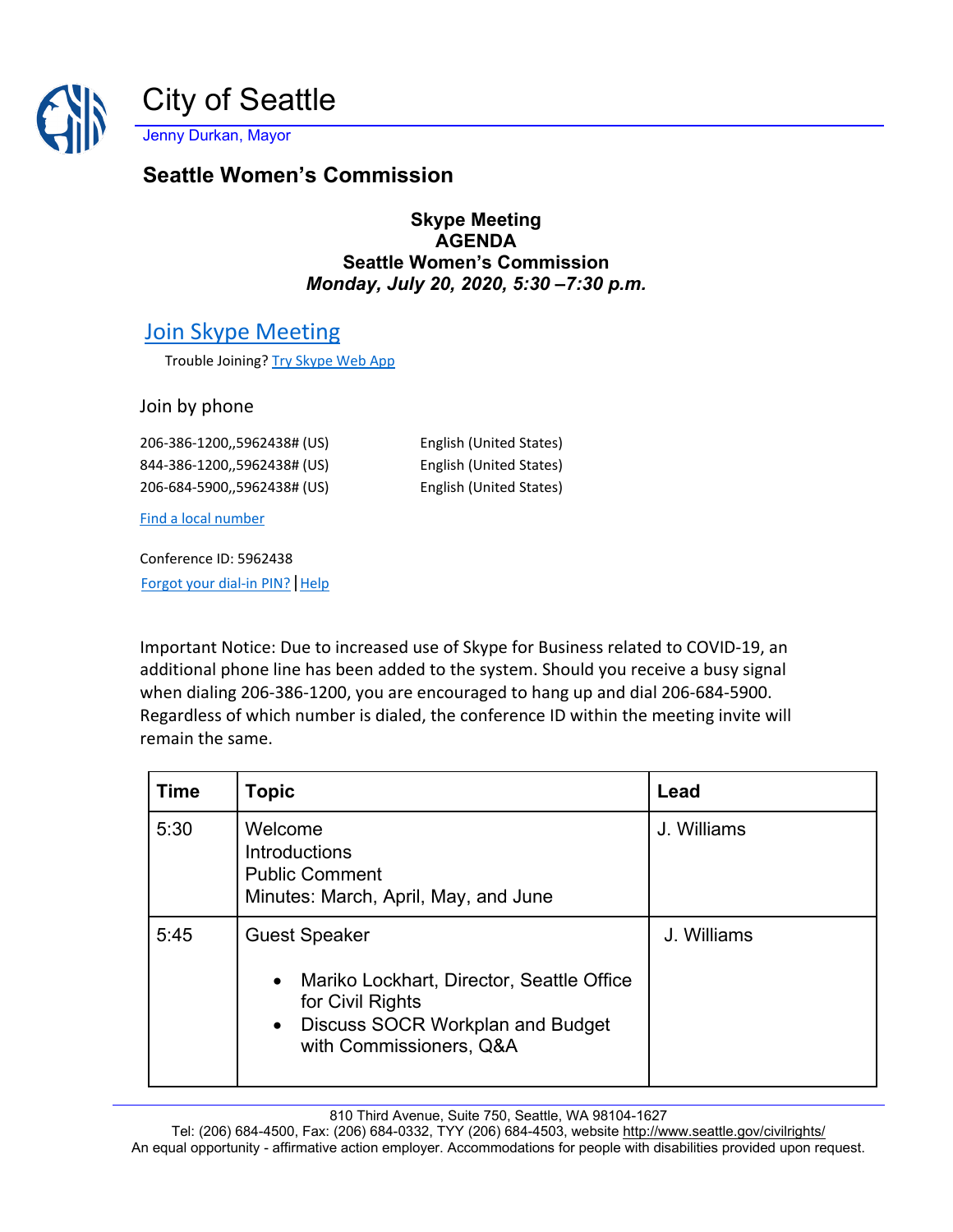

Jenny Durkan, Mayor

## **Seattle Women's Commission**

## **Skype Meeting AGENDA Seattle Women's Commission** *Monday, July 20, 2020, 5:30 –7:30 p.m.*

## [Join Skype Meeting](https://meet.seattle.gov/marta.idowu/J9JZFF2W)

Trouble Joining? [Try Skype Web App](https://meet.seattle.gov/marta.idowu/J9JZFF2W?sl=1)

Join by phone

206-386-1200,,5962438# (US) English (United States) 844-386-1200,,5962438# (US) English (United States) 206-684-5900,,5962438# (US) English (United States)

[Find a local number](https://dialin.seattle.gov/?id=5962438)

Conference ID: 5962438 [Forgot your dial-in PIN?](https://dialin.seattle.gov/) | Help

Important Notice: Due to increased use of Skype for Business related to COVID-19, an additional phone line has been added to the system. Should you receive a busy signal when dialing 206-386-1200, you are encouraged to hang up and dial 206-684-5900. Regardless of which number is dialed, the conference ID within the meeting invite will remain the same.

| <b>Time</b> | <b>Topic</b>                                                                                                                                                                          | Lead        |
|-------------|---------------------------------------------------------------------------------------------------------------------------------------------------------------------------------------|-------------|
| 5:30        | Welcome<br><b>Introductions</b><br><b>Public Comment</b><br>Minutes: March, April, May, and June                                                                                      | J. Williams |
| 5:45        | <b>Guest Speaker</b><br>Mariko Lockhart, Director, Seattle Office<br>$\bullet$<br>for Civil Rights<br><b>Discuss SOCR Workplan and Budget</b><br>$\bullet$<br>with Commissioners, Q&A | J. Williams |

810 Third Avenue, Suite 750, Seattle, WA 98104-1627

Tel: (206) 684-4500, Fax: (206) 684-0332, TYY (206) 684-4503, website<http://www.seattle.gov/civilrights/> An equal opportunity - affirmative action employer. Accommodations for people with disabilities provided upon request.